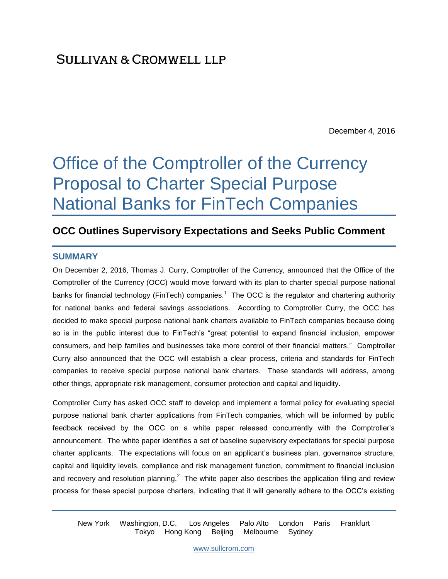December 4, 2016

# Office of the Comptroller of the Currency Proposal to Charter Special Purpose National Banks for FinTech Companies

## **OCC Outlines Supervisory Expectations and Seeks Public Comment**

#### **SUMMARY**

On December 2, 2016, Thomas J. Curry, Comptroller of the Currency, announced that the Office of the Comptroller of the Currency (OCC) would move forward with its plan to charter special purpose national banks for financial technology (FinTech) companies.<sup>1</sup> The OCC is the regulator and chartering authority for national banks and federal savings associations. According to Comptroller Curry, the OCC has decided to make special purpose national bank charters available to FinTech companies because doing so is in the public interest due to FinTech's "great potential to expand financial inclusion, empower consumers, and help families and businesses take more control of their financial matters." Comptroller Curry also announced that the OCC will establish a clear process, criteria and standards for FinTech companies to receive special purpose national bank charters. These standards will address, among other things, appropriate risk management, consumer protection and capital and liquidity.

Comptroller Curry has asked OCC staff to develop and implement a formal policy for evaluating special purpose national bank charter applications from FinTech companies, which will be informed by public feedback received by the OCC on a white paper released concurrently with the Comptroller's announcement. The white paper identifies a set of baseline supervisory expectations for special purpose charter applicants. The expectations will focus on an applicant's business plan, governance structure, capital and liquidity levels, compliance and risk management function, commitment to financial inclusion and recovery and resolution planning.<sup>2</sup> The white paper also describes the application filing and review process for these special purpose charters, indicating that it will generally adhere to the OCC's existing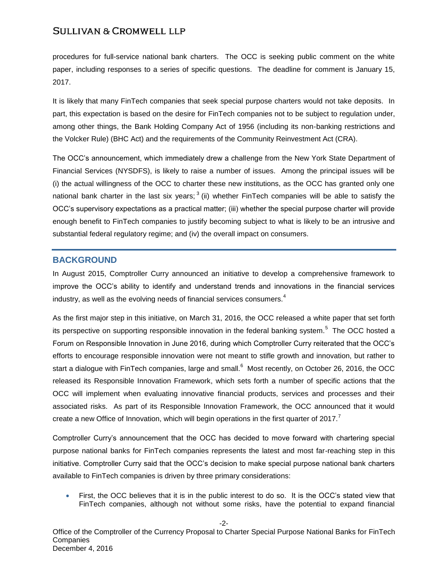procedures for full-service national bank charters. The OCC is seeking public comment on the white paper, including responses to a series of specific questions. The deadline for comment is January 15, 2017.

It is likely that many FinTech companies that seek special purpose charters would not take deposits. In part, this expectation is based on the desire for FinTech companies not to be subject to regulation under, among other things, the Bank Holding Company Act of 1956 (including its non-banking restrictions and the Volcker Rule) (BHC Act) and the requirements of the Community Reinvestment Act (CRA).

The OCC's announcement, which immediately drew a challenge from the New York State Department of Financial Services (NYSDFS), is likely to raise a number of issues. Among the principal issues will be (i) the actual willingness of the OCC to charter these new institutions, as the OCC has granted only one national bank charter in the last six years;  $3$  (ii) whether FinTech companies will be able to satisfy the OCC's supervisory expectations as a practical matter; (iii) whether the special purpose charter will provide enough benefit to FinTech companies to justify becoming subject to what is likely to be an intrusive and substantial federal regulatory regime; and (iv) the overall impact on consumers.

#### **BACKGROUND**

In August 2015, Comptroller Curry announced an initiative to develop a comprehensive framework to improve the OCC's ability to identify and understand trends and innovations in the financial services industry, as well as the evolving needs of financial services consumers. $^4$ 

As the first major step in this initiative, on March 31, 2016, the OCC released a white paper that set forth its perspective on supporting responsible innovation in the federal banking system.<sup>5</sup> The OCC hosted a Forum on Responsible Innovation in June 2016, during which Comptroller Curry reiterated that the OCC's efforts to encourage responsible innovation were not meant to stifle growth and innovation, but rather to start a dialogue with FinTech companies, large and small.<sup>6</sup> Most recently, on October 26, 2016, the OCC released its Responsible Innovation Framework, which sets forth a number of specific actions that the OCC will implement when evaluating innovative financial products, services and processes and their associated risks. As part of its Responsible Innovation Framework, the OCC announced that it would create a new Office of Innovation, which will begin operations in the first quarter of 2017.<sup>7</sup>

Comptroller Curry's announcement that the OCC has decided to move forward with chartering special purpose national banks for FinTech companies represents the latest and most far-reaching step in this initiative. Comptroller Curry said that the OCC's decision to make special purpose national bank charters available to FinTech companies is driven by three primary considerations:

 First, the OCC believes that it is in the public interest to do so. It is the OCC's stated view that FinTech companies, although not without some risks, have the potential to expand financial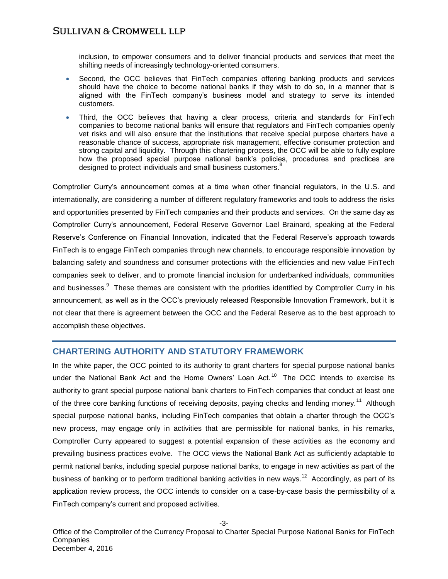inclusion, to empower consumers and to deliver financial products and services that meet the shifting needs of increasingly technology-oriented consumers.

- Second, the OCC believes that FinTech companies offering banking products and services should have the choice to become national banks if they wish to do so, in a manner that is aligned with the FinTech company's business model and strategy to serve its intended customers.
- Third, the OCC believes that having a clear process, criteria and standards for FinTech companies to become national banks will ensure that regulators and FinTech companies openly vet risks and will also ensure that the institutions that receive special purpose charters have a reasonable chance of success, appropriate risk management, effective consumer protection and strong capital and liquidity. Through this chartering process, the OCC will be able to fully explore how the proposed special purpose national bank's policies, procedures and practices are designed to protect individuals and small business customers.<sup>8</sup>

Comptroller Curry's announcement comes at a time when other financial regulators, in the U.S. and internationally, are considering a number of different regulatory frameworks and tools to address the risks and opportunities presented by FinTech companies and their products and services. On the same day as Comptroller Curry's announcement, Federal Reserve Governor Lael Brainard, speaking at the Federal Reserve's Conference on Financial Innovation, indicated that the Federal Reserve's approach towards FinTech is to engage FinTech companies through new channels, to encourage responsible innovation by balancing safety and soundness and consumer protections with the efficiencies and new value FinTech companies seek to deliver, and to promote financial inclusion for underbanked individuals, communities and businesses.<sup>9</sup> These themes are consistent with the priorities identified by Comptroller Curry in his announcement, as well as in the OCC's previously released Responsible Innovation Framework, but it is not clear that there is agreement between the OCC and the Federal Reserve as to the best approach to accomplish these objectives.

#### **CHARTERING AUTHORITY AND STATUTORY FRAMEWORK**

In the white paper, the OCC pointed to its authority to grant charters for special purpose national banks under the National Bank Act and the Home Owners' Loan Act.<sup>10</sup> The OCC intends to exercise its authority to grant special purpose national bank charters to FinTech companies that conduct at least one of the three core banking functions of receiving deposits, paying checks and lending money.<sup>11</sup> Although special purpose national banks, including FinTech companies that obtain a charter through the OCC's new process, may engage only in activities that are permissible for national banks, in his remarks, Comptroller Curry appeared to suggest a potential expansion of these activities as the economy and prevailing business practices evolve. The OCC views the National Bank Act as sufficiently adaptable to permit national banks, including special purpose national banks, to engage in new activities as part of the business of banking or to perform traditional banking activities in new ways.<sup>12</sup> Accordingly, as part of its application review process, the OCC intends to consider on a case-by-case basis the permissibility of a FinTech company's current and proposed activities.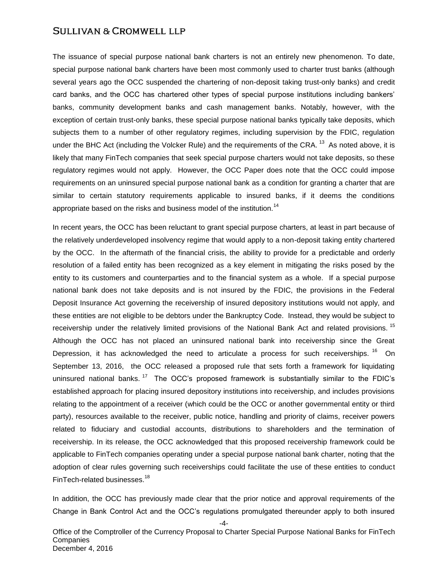The issuance of special purpose national bank charters is not an entirely new phenomenon. To date, special purpose national bank charters have been most commonly used to charter trust banks (although several years ago the OCC suspended the chartering of non-deposit taking trust-only banks) and credit card banks, and the OCC has chartered other types of special purpose institutions including bankers' banks, community development banks and cash management banks. Notably, however, with the exception of certain trust-only banks, these special purpose national banks typically take deposits, which subjects them to a number of other regulatory regimes, including supervision by the FDIC, regulation under the BHC Act (including the Volcker Rule) and the requirements of the CRA.  $^{13}$  As noted above, it is likely that many FinTech companies that seek special purpose charters would not take deposits, so these regulatory regimes would not apply. However, the OCC Paper does note that the OCC could impose requirements on an uninsured special purpose national bank as a condition for granting a charter that are similar to certain statutory requirements applicable to insured banks, if it deems the conditions appropriate based on the risks and business model of the institution.<sup>14</sup>

In recent years, the OCC has been reluctant to grant special purpose charters, at least in part because of the relatively underdeveloped insolvency regime that would apply to a non-deposit taking entity chartered by the OCC. In the aftermath of the financial crisis, the ability to provide for a predictable and orderly resolution of a failed entity has been recognized as a key element in mitigating the risks posed by the entity to its customers and counterparties and to the financial system as a whole. If a special purpose national bank does not take deposits and is not insured by the FDIC, the provisions in the Federal Deposit Insurance Act governing the receivership of insured depository institutions would not apply, and these entities are not eligible to be debtors under the Bankruptcy Code. Instead, they would be subject to receivership under the relatively limited provisions of the National Bank Act and related provisions. <sup>15</sup> Although the OCC has not placed an uninsured national bank into receivership since the Great Depression, it has acknowledged the need to articulate a process for such receiverships. <sup>16</sup> On September 13, 2016, the OCC released a proposed rule that sets forth a framework for liquidating uninsured national banks.<sup>17</sup> The OCC's proposed framework is substantially similar to the FDIC's established approach for placing insured depository institutions into receivership, and includes provisions relating to the appointment of a receiver (which could be the OCC or another governmental entity or third party), resources available to the receiver, public notice, handling and priority of claims, receiver powers related to fiduciary and custodial accounts, distributions to shareholders and the termination of receivership. In its release, the OCC acknowledged that this proposed receivership framework could be applicable to FinTech companies operating under a special purpose national bank charter, noting that the adoption of clear rules governing such receiverships could facilitate the use of these entities to conduct FinTech-related businesses.<sup>18</sup>

In addition, the OCC has previously made clear that the prior notice and approval requirements of the Change in Bank Control Act and the OCC's regulations promulgated thereunder apply to both insured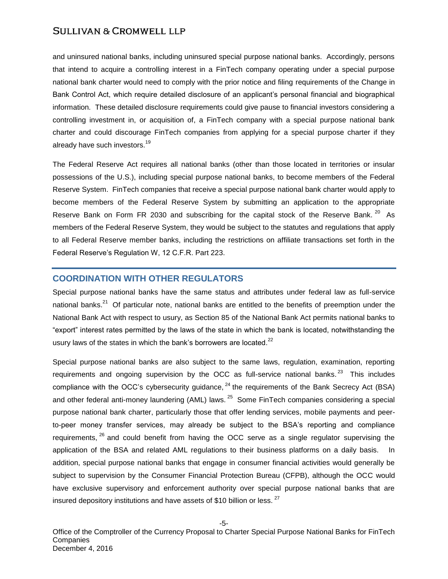and uninsured national banks, including uninsured special purpose national banks. Accordingly, persons that intend to acquire a controlling interest in a FinTech company operating under a special purpose national bank charter would need to comply with the prior notice and filing requirements of the Change in Bank Control Act, which require detailed disclosure of an applicant's personal financial and biographical information. These detailed disclosure requirements could give pause to financial investors considering a controlling investment in, or acquisition of, a FinTech company with a special purpose national bank charter and could discourage FinTech companies from applying for a special purpose charter if they already have such investors. $^{19}$ 

The Federal Reserve Act requires all national banks (other than those located in territories or insular possessions of the U.S.), including special purpose national banks, to become members of the Federal Reserve System. FinTech companies that receive a special purpose national bank charter would apply to become members of the Federal Reserve System by submitting an application to the appropriate Reserve Bank on Form FR 2030 and subscribing for the capital stock of the Reserve Bank.<sup>20</sup> As members of the Federal Reserve System, they would be subject to the statutes and regulations that apply to all Federal Reserve member banks, including the restrictions on affiliate transactions set forth in the Federal Reserve's Regulation W, 12 C.F.R. Part 223.

#### **COORDINATION WITH OTHER REGULATORS**

Special purpose national banks have the same status and attributes under federal law as full-service national banks.<sup>21</sup> Of particular note, national banks are entitled to the benefits of preemption under the National Bank Act with respect to usury, as Section 85 of the National Bank Act permits national banks to "export" interest rates permitted by the laws of the state in which the bank is located, notwithstanding the usury laws of the states in which the bank's borrowers are located. $^{22}$ 

Special purpose national banks are also subject to the same laws, regulation, examination, reporting requirements and ongoing supervision by the OCC as full-service national banks.<sup>23</sup> This includes compliance with the OCC's cybersecurity quidance,  $^{24}$  the requirements of the Bank Secrecy Act (BSA) and other federal anti-money laundering (AML) laws. <sup>25</sup> Some FinTech companies considering a special purpose national bank charter, particularly those that offer lending services, mobile payments and peerto-peer money transfer services, may already be subject to the BSA's reporting and compliance requirements, <sup>26</sup> and could benefit from having the OCC serve as a single regulator supervising the application of the BSA and related AML regulations to their business platforms on a daily basis. In addition, special purpose national banks that engage in consumer financial activities would generally be subject to supervision by the Consumer Financial Protection Bureau (CFPB), although the OCC would have exclusive supervisory and enforcement authority over special purpose national banks that are insured depository institutions and have assets of \$10 billion or less.  $27$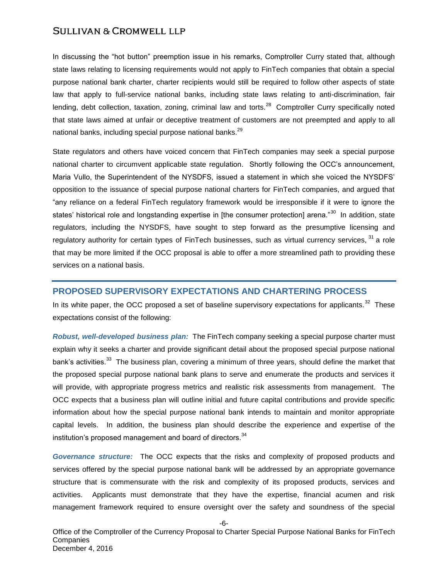In discussing the "hot button" preemption issue in his remarks, Comptroller Curry stated that, although state laws relating to licensing requirements would not apply to FinTech companies that obtain a special purpose national bank charter, charter recipients would still be required to follow other aspects of state law that apply to full-service national banks, including state laws relating to anti-discrimination, fair lending, debt collection, taxation, zoning, criminal law and torts.<sup>28</sup> Comptroller Curry specifically noted that state laws aimed at unfair or deceptive treatment of customers are not preempted and apply to all national banks, including special purpose national banks. $^{29}$ 

State regulators and others have voiced concern that FinTech companies may seek a special purpose national charter to circumvent applicable state regulation. Shortly following the OCC's announcement, Maria Vullo, the Superintendent of the NYSDFS, issued a statement in which she voiced the NYSDFS' opposition to the issuance of special purpose national charters for FinTech companies, and argued that "any reliance on a federal FinTech regulatory framework would be irresponsible if it were to ignore the states' historical role and longstanding expertise in [the consumer protection] arena."<sup>30</sup> In addition, state regulators, including the NYSDFS, have sought to step forward as the presumptive licensing and regulatory authority for certain types of FinTech businesses, such as virtual currency services, <sup>31</sup> a role that may be more limited if the OCC proposal is able to offer a more streamlined path to providing these services on a national basis.

#### **PROPOSED SUPERVISORY EXPECTATIONS AND CHARTERING PROCESS**

In its white paper, the OCC proposed a set of baseline supervisory expectations for applicants.<sup>32</sup> These expectations consist of the following:

*Robust, well-developed business plan:* The FinTech company seeking a special purpose charter must explain why it seeks a charter and provide significant detail about the proposed special purpose national bank's activities.<sup>33</sup> The business plan, covering a minimum of three years, should define the market that the proposed special purpose national bank plans to serve and enumerate the products and services it will provide, with appropriate progress metrics and realistic risk assessments from management. The OCC expects that a business plan will outline initial and future capital contributions and provide specific information about how the special purpose national bank intends to maintain and monitor appropriate capital levels. In addition, the business plan should describe the experience and expertise of the institution's proposed management and board of directors.<sup>34</sup>

*Governance structure:* The OCC expects that the risks and complexity of proposed products and services offered by the special purpose national bank will be addressed by an appropriate governance structure that is commensurate with the risk and complexity of its proposed products, services and activities. Applicants must demonstrate that they have the expertise, financial acumen and risk management framework required to ensure oversight over the safety and soundness of the special

Office of the Comptroller of the Currency Proposal to Charter Special Purpose National Banks for FinTech Companies December 4, 2016

-6-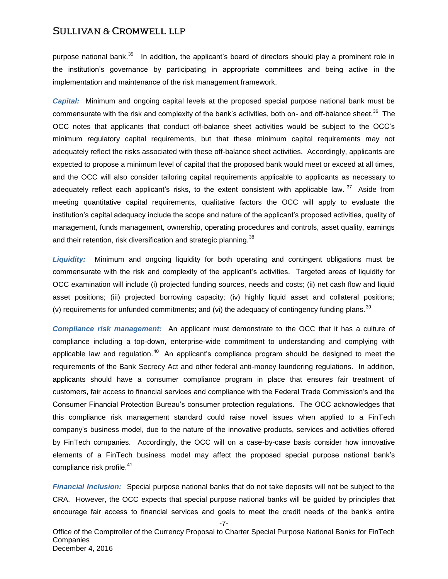purpose national bank.<sup>35</sup> In addition, the applicant's board of directors should play a prominent role in the institution's governance by participating in appropriate committees and being active in the implementation and maintenance of the risk management framework.

*Capital:* Minimum and ongoing capital levels at the proposed special purpose national bank must be commensurate with the risk and complexity of the bank's activities, both on- and off-balance sheet.<sup>36</sup> The OCC notes that applicants that conduct off-balance sheet activities would be subject to the OCC's minimum regulatory capital requirements, but that these minimum capital requirements may not adequately reflect the risks associated with these off-balance sheet activities. Accordingly, applicants are expected to propose a minimum level of capital that the proposed bank would meet or exceed at all times, and the OCC will also consider tailoring capital requirements applicable to applicants as necessary to adequately reflect each applicant's risks, to the extent consistent with applicable law.  $37$  Aside from meeting quantitative capital requirements, qualitative factors the OCC will apply to evaluate the institution's capital adequacy include the scope and nature of the applicant's proposed activities, quality of management, funds management, ownership, operating procedures and controls, asset quality, earnings and their retention, risk diversification and strategic planning.  $38$ 

*Liquidity:* Minimum and ongoing liquidity for both operating and contingent obligations must be commensurate with the risk and complexity of the applicant's activities. Targeted areas of liquidity for OCC examination will include (i) projected funding sources, needs and costs; (ii) net cash flow and liquid asset positions; (iii) projected borrowing capacity; (iv) highly liquid asset and collateral positions; (v) requirements for unfunded commitments; and (vi) the adequacy of contingency funding plans.<sup>39</sup>

*Compliance risk management:* An applicant must demonstrate to the OCC that it has a culture of compliance including a top-down, enterprise-wide commitment to understanding and complying with applicable law and regulation.<sup>40</sup> An applicant's compliance program should be designed to meet the requirements of the Bank Secrecy Act and other federal anti-money laundering regulations. In addition, applicants should have a consumer compliance program in place that ensures fair treatment of customers, fair access to financial services and compliance with the Federal Trade Commission's and the Consumer Financial Protection Bureau's consumer protection regulations. The OCC acknowledges that this compliance risk management standard could raise novel issues when applied to a FinTech company's business model, due to the nature of the innovative products, services and activities offered by FinTech companies. Accordingly, the OCC will on a case-by-case basis consider how innovative elements of a FinTech business model may affect the proposed special purpose national bank's compliance risk profile. $41$ 

*Financial Inclusion:* Special purpose national banks that do not take deposits will not be subject to the CRA. However, the OCC expects that special purpose national banks will be guided by principles that encourage fair access to financial services and goals to meet the credit needs of the bank's entire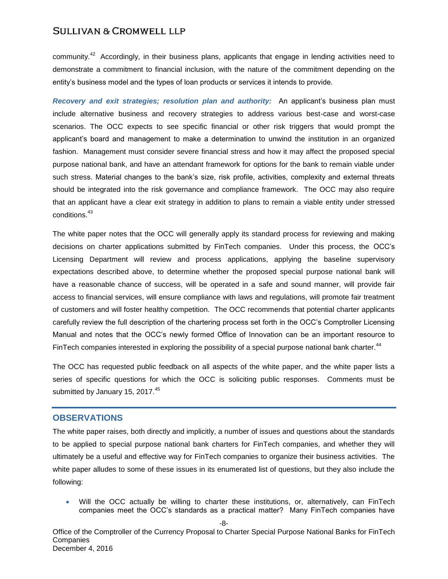community.<sup>42</sup> Accordingly, in their business plans, applicants that engage in lending activities need to demonstrate a commitment to financial inclusion, with the nature of the commitment depending on the entity's business model and the types of loan products or services it intends to provide.

*Recovery and exit strategies; resolution plan and authority:* An applicant's business plan must include alternative business and recovery strategies to address various best-case and worst-case scenarios. The OCC expects to see specific financial or other risk triggers that would prompt the applicant's board and management to make a determination to unwind the institution in an organized fashion. Management must consider severe financial stress and how it may affect the proposed special purpose national bank, and have an attendant framework for options for the bank to remain viable under such stress. Material changes to the bank's size, risk profile, activities, complexity and external threats should be integrated into the risk governance and compliance framework. The OCC may also require that an applicant have a clear exit strategy in addition to plans to remain a viable entity under stressed conditions.<sup>43</sup>

The white paper notes that the OCC will generally apply its standard process for reviewing and making decisions on charter applications submitted by FinTech companies. Under this process, the OCC's Licensing Department will review and process applications, applying the baseline supervisory expectations described above, to determine whether the proposed special purpose national bank will have a reasonable chance of success, will be operated in a safe and sound manner, will provide fair access to financial services, will ensure compliance with laws and regulations, will promote fair treatment of customers and will foster healthy competition. The OCC recommends that potential charter applicants carefully review the full description of the chartering process set forth in the OCC's Comptroller Licensing Manual and notes that the OCC's newly formed Office of Innovation can be an important resource to FinTech companies interested in exploring the possibility of a special purpose national bank charter.<sup>44</sup>

The OCC has requested public feedback on all aspects of the white paper, and the white paper lists a series of specific questions for which the OCC is soliciting public responses. Comments must be submitted by January 15, 2017. $45$ 

#### **OBSERVATIONS**

The white paper raises, both directly and implicitly, a number of issues and questions about the standards to be applied to special purpose national bank charters for FinTech companies, and whether they will ultimately be a useful and effective way for FinTech companies to organize their business activities. The white paper alludes to some of these issues in its enumerated list of questions, but they also include the following:

 Will the OCC actually be willing to charter these institutions, or, alternatively, can FinTech companies meet the OCC's standards as a practical matter? Many FinTech companies have

-8-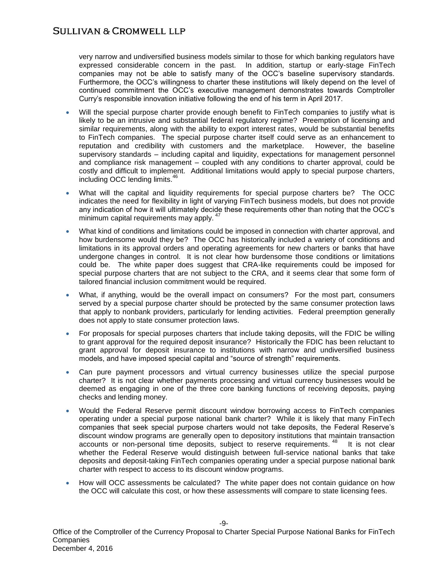very narrow and undiversified business models similar to those for which banking regulators have expressed considerable concern in the past. In addition, startup or early-stage FinTech companies may not be able to satisfy many of the OCC's baseline supervisory standards. Furthermore, the OCC's willingness to charter these institutions will likely depend on the level of continued commitment the OCC's executive management demonstrates towards Comptroller Curry's responsible innovation initiative following the end of his term in April 2017.

- Will the special purpose charter provide enough benefit to FinTech companies to justify what is likely to be an intrusive and substantial federal regulatory regime? Preemption of licensing and similar requirements, along with the ability to export interest rates, would be substantial benefits to FinTech companies. The special purpose charter itself could serve as an enhancement to reputation and credibility with customers and the marketplace. However, the baseline supervisory standards – including capital and liquidity, expectations for management personnel and compliance risk management – coupled with any conditions to charter approval, could be costly and difficult to implement. Additional limitations would apply to special purpose charters, including OCC lending limits.<sup>46</sup>
- What will the capital and liquidity requirements for special purpose charters be? The OCC indicates the need for flexibility in light of varying FinTech business models, but does not provide any indication of how it will ultimately decide these requirements other than noting that the OCC's minimum capital requirements may apply.<sup>4</sup>
- What kind of conditions and limitations could be imposed in connection with charter approval, and how burdensome would they be? The OCC has historically included a variety of conditions and limitations in its approval orders and operating agreements for new charters or banks that have undergone changes in control. It is not clear how burdensome those conditions or limitations could be. The white paper does suggest that CRA-like requirements could be imposed for special purpose charters that are not subject to the CRA, and it seems clear that some form of tailored financial inclusion commitment would be required.
- What, if anything, would be the overall impact on consumers? For the most part, consumers served by a special purpose charter should be protected by the same consumer protection laws that apply to nonbank providers, particularly for lending activities. Federal preemption generally does not apply to state consumer protection laws.
- For proposals for special purposes charters that include taking deposits, will the FDIC be willing to grant approval for the required deposit insurance? Historically the FDIC has been reluctant to grant approval for deposit insurance to institutions with narrow and undiversified business models, and have imposed special capital and "source of strength" requirements.
- Can pure payment processors and virtual currency businesses utilize the special purpose charter? It is not clear whether payments processing and virtual currency businesses would be deemed as engaging in one of the three core banking functions of receiving deposits, paying checks and lending money.
- Would the Federal Reserve permit discount window borrowing access to FinTech companies operating under a special purpose national bank charter? While it is likely that many FinTech companies that seek special purpose charters would not take deposits, the Federal Reserve's discount window programs are generally open to depository institutions that maintain transaction accounts or non-personal time deposits, subject to reserve requirements. <sup>48</sup> It is not clear whether the Federal Reserve would distinguish between full-service national banks that take deposits and deposit-taking FinTech companies operating under a special purpose national bank charter with respect to access to its discount window programs.
- How will OCC assessments be calculated? The white paper does not contain guidance on how the OCC will calculate this cost, or how these assessments will compare to state licensing fees.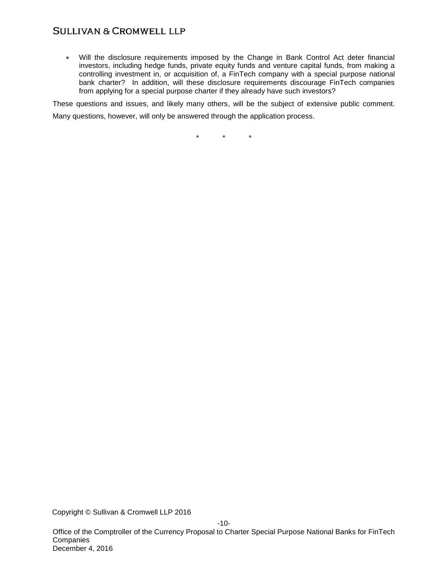Will the disclosure requirements imposed by the Change in Bank Control Act deter financial investors, including hedge funds, private equity funds and venture capital funds, from making a controlling investment in, or acquisition of, a FinTech company with a special purpose national bank charter? In addition, will these disclosure requirements discourage FinTech companies from applying for a special purpose charter if they already have such investors?

These questions and issues, and likely many others, will be the subject of extensive public comment.

Many questions, however, will only be answered through the application process.

\* \* \*

Copyright © Sullivan & Cromwell LLP 2016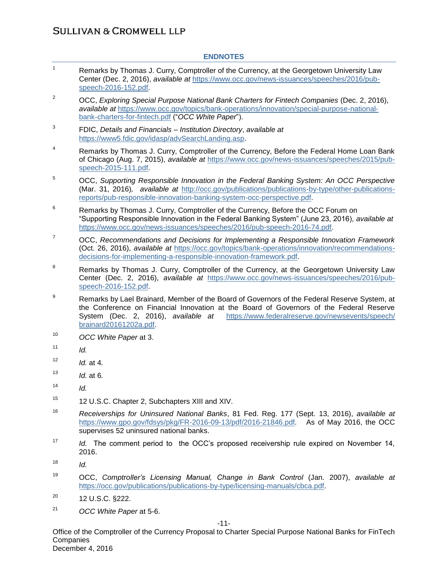#### **ENDNOTES**

- <sup>1</sup> Remarks by Thomas J. Curry, Comptroller of the Currency, at the Georgetown University Law Center (Dec. 2, 2016), *available at* [https://www.occ.gov/news-issuances/speeches/2016/pub](https://www.occ.gov/news-issuances/speeches/2016/pub-speech-2016-152.pdf)[speech-2016-152.pdf.](https://www.occ.gov/news-issuances/speeches/2016/pub-speech-2016-152.pdf)
- <sup>2</sup> OCC, *Exploring Special Purpose National Bank Charters for Fintech Companies* (Dec. 2, 2016), *available at* [https://www.occ.gov/topics/bank-operations/innovation/special-purpose-national](https://www.occ.gov/topics/bank-operations/innovation/special-purpose-national-bank-charters-for-fintech.pdf)[bank-charters-for-fintech.pdf](https://www.occ.gov/topics/bank-operations/innovation/special-purpose-national-bank-charters-for-fintech.pdf) ("*OCC White Paper*").
- 3 FDIC, *Details and Financials – Institution Directory*, *available at* [https://www5.fdic.gov/idasp/advSearchLanding.asp.](https://www5.fdic.gov/idasp/advSearchLanding.asp)
- <sup>4</sup> Remarks by Thomas J. Curry, Comptroller of the Currency, Before the Federal Home Loan Bank of Chicago (Aug. 7, 2015), *available at* [https://www.occ.gov/news-issuances/speeches/2015/pub](https://www.occ.gov/news-issuances/speeches/2015/pub-speech-2015-111.pdf)[speech-2015-111.pdf.](https://www.occ.gov/news-issuances/speeches/2015/pub-speech-2015-111.pdf)
- <sup>5</sup> OCC, *Supporting Responsible Innovation in the Federal Banking System: An OCC Perspective* (Mar. 31, 2016)*, available at* [http://occ.gov/publications/publications-by-type/other-publications](http://occ.gov/publications/publications-by-type/other-publications-reports/pub-responsible-innovation-banking-system-occ-perspective.pdf)[reports/pub-responsible-innovation-banking-system-occ-perspective.pdf.](http://occ.gov/publications/publications-by-type/other-publications-reports/pub-responsible-innovation-banking-system-occ-perspective.pdf)
- $6$  Remarks by Thomas J. Curry, Comptroller of the Currency, Before the OCC Forum on "Supporting Responsible Innovation in the Federal Banking System" (June 23, 2016), *available at* [https://www.occ.gov/news-issuances/speeches/2016/pub-speech-2016-74.pdf.](https://www.occ.gov/news-issuances/speeches/2016/pub-speech-2016-74.pdf)
- <sup>7</sup> OCC, *Recommendations and Decisions for Implementing a Responsible Innovation Framework* (Oct. 26, 2016), *available at* [https://occ.gov/topics/bank-operations/innovation/recommendations](https://occ.gov/topics/bank-operations/innovation/recommendations-decisions-for-implementing-a-responsible-innovation-framework.pdf)[decisions-for-implementing-a-responsible-innovation-framework.pdf.](https://occ.gov/topics/bank-operations/innovation/recommendations-decisions-for-implementing-a-responsible-innovation-framework.pdf)
- <sup>8</sup> Remarks by Thomas J. Curry, Comptroller of the Currency, at the Georgetown University Law Center (Dec. 2, 2016), *available at* [https://www.occ.gov/news-issuances/speeches/2016/pub](https://www.occ.gov/news-issuances/speeches/2016/pub-speech-2016-152.pdf)[speech-2016-152.pdf.](https://www.occ.gov/news-issuances/speeches/2016/pub-speech-2016-152.pdf)
- <sup>9</sup> Remarks by Lael Brainard, Member of the Board of Governors of the Federal Reserve System, at the Conference on Financial Innovation at the Board of Governors of the Federal Reserve System (Dec. 2, 2016), *available at* [https://www.federalreserve.gov/newsevents/speech/](https://www.federalreserve.gov/newsevents/speech/brainard20161202a.pdf) [brainard20161202a.pdf.](https://www.federalreserve.gov/newsevents/speech/brainard20161202a.pdf)
- <sup>10</sup> *OCC White Paper* at 3.
- $11$  *Id.*
- $12$  *Id.* at 4.
- <sup>13</sup> *Id.* at 6*.*
- $14$  *Id.*
- <sup>15</sup> 12 U.S.C. Chapter 2, Subchapters XIII and XIV.
- <sup>16</sup> *Receiverships for Uninsured National Banks*, 81 Fed. Reg. 177 (Sept. 13, 2016), *available at* <https://www.gpo.gov/fdsys/pkg/FR-2016-09-13/pdf/2016-21846.pdf>*.* As of May 2016, the OCC supervises 52 uninsured national banks.
- <sup>17</sup> *Id.* The comment period to the OCC's proposed receivership rule expired on November 14, 2016.
- $18$  *Id.*
- <sup>19</sup> OCC, *Comptroller's Licensing Manual, Change in Bank Control* (Jan. 2007), *available at* [https://occ.gov/publications/publications-by-type/licensing-manuals/cbca.pdf.](https://occ.gov/publications/publications-by-type/licensing-manuals/cbca.pdf)
- $^{20}$  12 U.S.C. §222.
- <sup>21</sup> *OCC White Paper* at 5-6.

-11-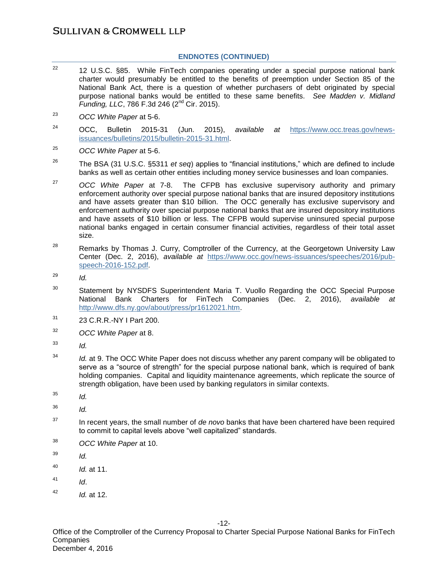#### **ENDNOTES (CONTINUED)**

- <sup>22</sup> 12 U.S.C. §85. While FinTech companies operating under a special purpose national bank charter would presumably be entitled to the benefits of preemption under Section 85 of the National Bank Act, there is a question of whether purchasers of debt originated by special purpose national banks would be entitled to these same benefits. *See Madden v. Midland Funding, LLC*, 786 F.3d 246 (2<sup>nd</sup> Cir. 2015).
- <sup>23</sup> *OCC White Paper* at 5-6.
- <sup>24</sup> OCC, Bulletin 2015-31 (Jun. 2015), *available at* [https://www.occ.treas.gov/news](https://www.occ.treas.gov/news-issuances/bulletins/2015/bulletin-2015-31.html)[issuances/bulletins/2015/bulletin-2015-31.html.](https://www.occ.treas.gov/news-issuances/bulletins/2015/bulletin-2015-31.html)
- <sup>25</sup> *OCC White Paper* at 5-6.
- <sup>26</sup> The BSA (31 U.S.C. §5311 *et seq*) applies to "financial institutions," which are defined to include banks as well as certain other entities including money service businesses and loan companies.
- <sup>27</sup> *OCC White Paper* at 7-8. The CFPB has exclusive supervisory authority and primary enforcement authority over special purpose national banks that are insured depository institutions and have assets greater than \$10 billion. The OCC generally has exclusive supervisory and enforcement authority over special purpose national banks that are insured depository institutions and have assets of \$10 billion or less. The CFPB would supervise uninsured special purpose national banks engaged in certain consumer financial activities, regardless of their total asset size.
- <sup>28</sup> Remarks by Thomas J. Curry, Comptroller of the Currency, at the Georgetown University Law Center (Dec. 2, 2016), *available at* [https://www.occ.gov/news-issuances/speeches/2016/pub](https://www.occ.gov/news-issuances/speeches/2016/pub-speech-2016-152.pdf)[speech-2016-152.pdf.](https://www.occ.gov/news-issuances/speeches/2016/pub-speech-2016-152.pdf)
- <sup>29</sup> *Id.*
- <sup>30</sup> Statement by NYSDFS Superintendent Maria T. Vuollo Regarding the OCC Special Purpose National Bank Charters for FinTech Companies (Dec. 2, 2016), *available at* [http://www.dfs.ny.gov/about/press/pr1612021.htm.](http://www.dfs.ny.gov/about/press/pr1612021.htm)
- <sup>31</sup> 23 C.R.R.-NY I Part 200.
- <sup>32</sup> *OCC White Paper* at 8.
- $^{33}$  *Id.*
- <sup>34</sup> *Id.* at 9. The OCC White Paper does not discuss whether any parent company will be obligated to serve as a "source of strength" for the special purpose national bank, which is required of bank holding companies. Capital and liquidity maintenance agreements, which replicate the source of strength obligation, have been used by banking regulators in similar contexts.
- $^{35}$  *Id.*
- $^{36}$  *Id.*
- <sup>37</sup> In recent years, the small number of *de novo* banks that have been chartered have been required to commit to capital levels above "well capitalized" standards.
- <sup>38</sup> *OCC White Paper* at 10.
- $^{39}$  *Id.*
- <sup>40</sup> *Id.* at 11.
- $^{41}$  *Id.*
- <sup>42</sup> *Id.* at 12.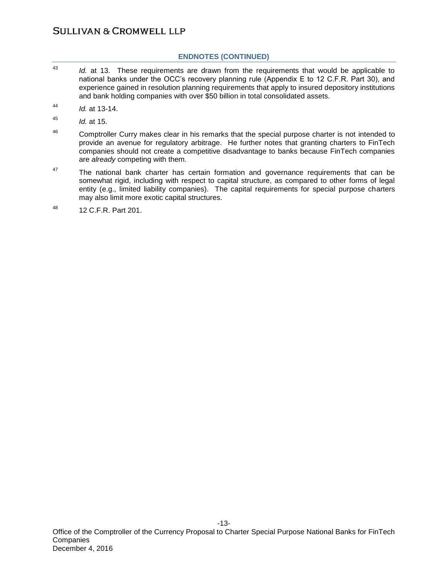#### **ENDNOTES (CONTINUED)**

- <sup>43</sup> *Id.* at 13. These requirements are drawn from the requirements that would be applicable to national banks under the OCC's recovery planning rule (Appendix E to 12 C.F.R. Part 30), and experience gained in resolution planning requirements that apply to insured depository institutions and bank holding companies with over \$50 billion in total consolidated assets.
- <sup>44</sup> *Id.* at 13-14.
- <sup>45</sup> *Id.* at 15.
- <sup>46</sup> Comptroller Curry makes clear in his remarks that the special purpose charter is not intended to provide an avenue for regulatory arbitrage. He further notes that granting charters to FinTech companies should not create a competitive disadvantage to banks because FinTech companies are *already* competing with them*.*
- $47$  The national bank charter has certain formation and governance requirements that can be somewhat rigid, including with respect to capital structure, as compared to other forms of legal entity (e.g., limited liability companies). The capital requirements for special purpose charters may also limit more exotic capital structures.
- <sup>48</sup> 12 C.F.R. Part 201.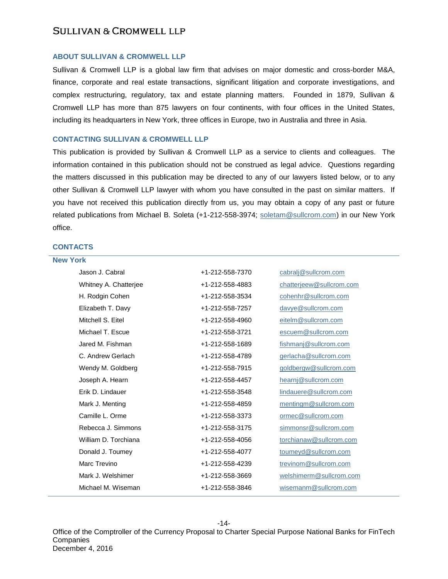#### **ABOUT SULLIVAN & CROMWELL LLP**

Sullivan & Cromwell LLP is a global law firm that advises on major domestic and cross-border M&A, finance, corporate and real estate transactions, significant litigation and corporate investigations, and complex restructuring, regulatory, tax and estate planning matters. Founded in 1879, Sullivan & Cromwell LLP has more than 875 lawyers on four continents, with four offices in the United States, including its headquarters in New York, three offices in Europe, two in Australia and three in Asia.

#### **CONTACTING SULLIVAN & CROMWELL LLP**

This publication is provided by Sullivan & Cromwell LLP as a service to clients and colleagues. The information contained in this publication should not be construed as legal advice. Questions regarding the matters discussed in this publication may be directed to any of our lawyers listed below, or to any other Sullivan & Cromwell LLP lawyer with whom you have consulted in the past on similar matters. If you have not received this publication directly from us, you may obtain a copy of any past or future related publications from Michael B. Soleta (+1-212-558-3974; [soletam@sullcrom.com\)](mailto:soletam@sullcrom.com) in our New York office.

#### **CONTACTS**

| Jason J. Cabral<br>+1-212-558-7370<br>cabralj@sullcrom.com<br>Whitney A. Chatterjee<br>+1-212-558-4883<br>chatterjeew@sullcrom.com<br>H. Rodgin Cohen<br>+1-212-558-3534<br>cohenhr@sullcrom.com<br>Elizabeth T. Davy<br>+1-212-558-7257<br>davye@sullcrom.com<br>Mitchell S. Eitel<br>+1-212-558-4960<br>eitelm@sullcrom.com<br>Michael T. Escue<br>+1-212-558-3721<br>escuem@sullcrom.com<br>Jared M. Fishman<br>+1-212-558-1689<br>fishmanj@sullcrom.com<br>C. Andrew Gerlach<br>+1-212-558-4789<br>gerlacha@sullcrom.com<br>goldbergw@sullcrom.com<br>Wendy M. Goldberg<br>+1-212-558-7915<br>+1-212-558-4457<br>hearnj@sullcrom.com<br>Joseph A. Hearn<br>Erik D. Lindauer<br>lindauere@sullcrom.com<br>+1-212-558-3548<br>+1-212-558-4859<br>mentingm@sullcrom.com<br>Mark J. Menting<br>Camille L. Orme<br>+1-212-558-3373<br>ormec@sullcrom.com<br>Rebecca J. Simmons<br>+1-212-558-3175<br>simmonsr@sullcrom.com<br>torchianaw@sullcrom.com<br>William D. Torchiana<br>+1-212-558-4056<br>Donald J. Toumey<br>+1-212-558-4077<br>toumeyd@sullcrom.com<br>Marc Trevino<br>+1-212-558-4239<br>trevinom@sullcrom.com<br>Mark J. Welshimer<br>welshimerm@sullcrom.com<br>+1-212-558-3669<br>Michael M. Wiseman<br>wisemanm@sullcrom.com<br>+1-212-558-3846 | <b>New York</b> |  |
|-----------------------------------------------------------------------------------------------------------------------------------------------------------------------------------------------------------------------------------------------------------------------------------------------------------------------------------------------------------------------------------------------------------------------------------------------------------------------------------------------------------------------------------------------------------------------------------------------------------------------------------------------------------------------------------------------------------------------------------------------------------------------------------------------------------------------------------------------------------------------------------------------------------------------------------------------------------------------------------------------------------------------------------------------------------------------------------------------------------------------------------------------------------------------------------------------------------------------------------------------------------------|-----------------|--|
|                                                                                                                                                                                                                                                                                                                                                                                                                                                                                                                                                                                                                                                                                                                                                                                                                                                                                                                                                                                                                                                                                                                                                                                                                                                                 |                 |  |
|                                                                                                                                                                                                                                                                                                                                                                                                                                                                                                                                                                                                                                                                                                                                                                                                                                                                                                                                                                                                                                                                                                                                                                                                                                                                 |                 |  |
|                                                                                                                                                                                                                                                                                                                                                                                                                                                                                                                                                                                                                                                                                                                                                                                                                                                                                                                                                                                                                                                                                                                                                                                                                                                                 |                 |  |
|                                                                                                                                                                                                                                                                                                                                                                                                                                                                                                                                                                                                                                                                                                                                                                                                                                                                                                                                                                                                                                                                                                                                                                                                                                                                 |                 |  |
|                                                                                                                                                                                                                                                                                                                                                                                                                                                                                                                                                                                                                                                                                                                                                                                                                                                                                                                                                                                                                                                                                                                                                                                                                                                                 |                 |  |
|                                                                                                                                                                                                                                                                                                                                                                                                                                                                                                                                                                                                                                                                                                                                                                                                                                                                                                                                                                                                                                                                                                                                                                                                                                                                 |                 |  |
|                                                                                                                                                                                                                                                                                                                                                                                                                                                                                                                                                                                                                                                                                                                                                                                                                                                                                                                                                                                                                                                                                                                                                                                                                                                                 |                 |  |
|                                                                                                                                                                                                                                                                                                                                                                                                                                                                                                                                                                                                                                                                                                                                                                                                                                                                                                                                                                                                                                                                                                                                                                                                                                                                 |                 |  |
|                                                                                                                                                                                                                                                                                                                                                                                                                                                                                                                                                                                                                                                                                                                                                                                                                                                                                                                                                                                                                                                                                                                                                                                                                                                                 |                 |  |
|                                                                                                                                                                                                                                                                                                                                                                                                                                                                                                                                                                                                                                                                                                                                                                                                                                                                                                                                                                                                                                                                                                                                                                                                                                                                 |                 |  |
|                                                                                                                                                                                                                                                                                                                                                                                                                                                                                                                                                                                                                                                                                                                                                                                                                                                                                                                                                                                                                                                                                                                                                                                                                                                                 |                 |  |
|                                                                                                                                                                                                                                                                                                                                                                                                                                                                                                                                                                                                                                                                                                                                                                                                                                                                                                                                                                                                                                                                                                                                                                                                                                                                 |                 |  |
|                                                                                                                                                                                                                                                                                                                                                                                                                                                                                                                                                                                                                                                                                                                                                                                                                                                                                                                                                                                                                                                                                                                                                                                                                                                                 |                 |  |
|                                                                                                                                                                                                                                                                                                                                                                                                                                                                                                                                                                                                                                                                                                                                                                                                                                                                                                                                                                                                                                                                                                                                                                                                                                                                 |                 |  |
|                                                                                                                                                                                                                                                                                                                                                                                                                                                                                                                                                                                                                                                                                                                                                                                                                                                                                                                                                                                                                                                                                                                                                                                                                                                                 |                 |  |
|                                                                                                                                                                                                                                                                                                                                                                                                                                                                                                                                                                                                                                                                                                                                                                                                                                                                                                                                                                                                                                                                                                                                                                                                                                                                 |                 |  |
|                                                                                                                                                                                                                                                                                                                                                                                                                                                                                                                                                                                                                                                                                                                                                                                                                                                                                                                                                                                                                                                                                                                                                                                                                                                                 |                 |  |
|                                                                                                                                                                                                                                                                                                                                                                                                                                                                                                                                                                                                                                                                                                                                                                                                                                                                                                                                                                                                                                                                                                                                                                                                                                                                 |                 |  |
|                                                                                                                                                                                                                                                                                                                                                                                                                                                                                                                                                                                                                                                                                                                                                                                                                                                                                                                                                                                                                                                                                                                                                                                                                                                                 |                 |  |

Office of the Comptroller of the Currency Proposal to Charter Special Purpose National Banks for FinTech **Companies** December 4, 2016

-14-